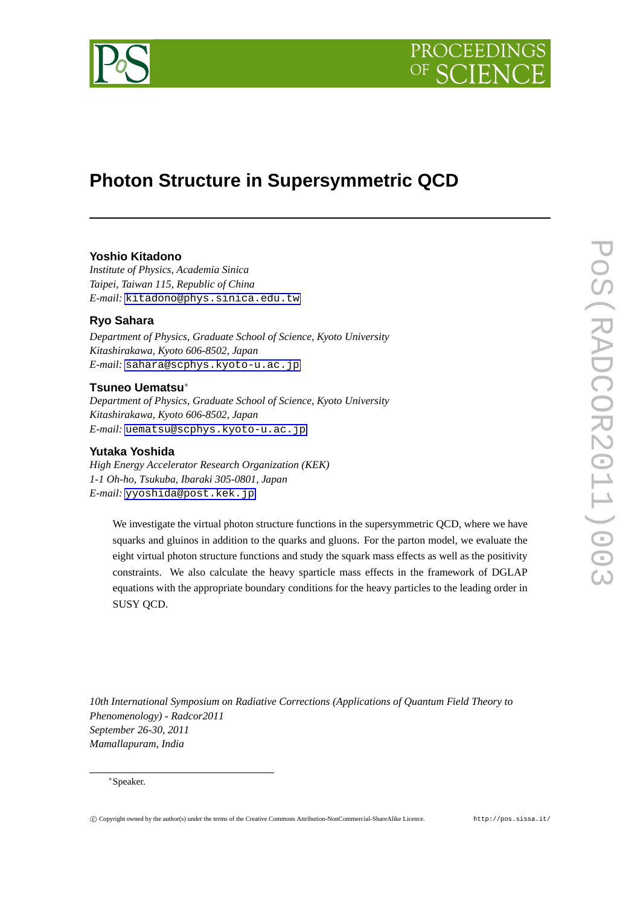



# **Photon Structure in Supersymmetric QCD**

## **Yoshio Kitadono**

*Institute of Physics, Academia Sinica Taipei, Taiwan 115, Republic of China E-mail:* [kitadono@phys.sinica.edu.tw](mailto:kitadono@phys.sinica.edu.tw)

## **Ryo Sahara**

*Department of Physics, Graduate School of Science, Kyoto University Kitashirakawa, Kyoto 606-8502, Japan E-mail:* [sahara@scphys.kyoto-u.ac.jp](mailto:sahara@scphys.kyoto-u.ac.jp)

## **Tsuneo Uematsu***∗*

*Department of Physics, Graduate School of Science, Kyoto University Kitashirakawa, Kyoto 606-8502, Japan E-mail:* [uematsu@scphys.kyoto-u.ac.jp](mailto:uematsu@scphys.kyoto-u.ac.jp)

### **Yutaka Yoshida**

*High Energy Accelerator Research Organization (KEK) 1-1 Oh-ho, Tsukuba, Ibaraki 305-0801, Japan E-mail:* [yyoshida@post.kek.jp](mailto:yyoshida@post.kek.jp)

We investigate the virtual photon structure functions in the supersymmetric QCD, where we have squarks and gluinos in addition to the quarks and gluons. For the parton model, we evaluate the eight virtual photon structure functions and study the squark mass effects as well as the positivity constraints. We also calculate the heavy sparticle mass effects in the framework of DGLAP equations with the appropriate boundary conditions for the heavy particles to the leading order in SUSY QCD.

*10th International Symposium on Radiative Corrections (Applications of Quantum Field Theory to Phenomenology) - Radcor2011 September 26-30, 2011 Mamallapuram, India*

#### *∗*Speaker.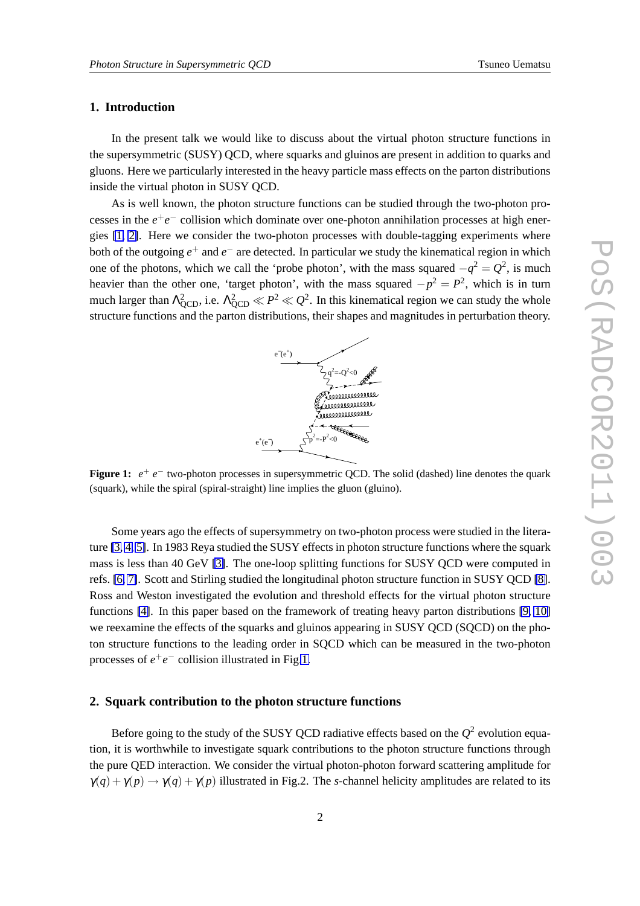#### **1. Introduction**

In the present talk we would like to discuss about the virtual photon structure functions in the supersymmetric (SUSY) QCD, where squarks and gluinos are present in addition to quarks and gluons. Here we particularly interested in the heavy particle mass effects on the parton distributions inside the virtual photon in SUSY QCD.

As is well known, the photon structure functions can be studied through the two-photon processes in the  $e^+e^-$  collision which dominate over one-photon annihilation processes at high energies [\[1,](#page-7-0) [2\]](#page-7-0). Here we consider the two-photon processes with double-tagging experiments where both of the outgoing *e* <sup>+</sup> and *e −* are detected. In particular we study the kinematical region in which one of the photons, which we call the 'probe photon', with the mass squared  $-q^2 = Q^2$ , is much heavier than the other one, 'target photon', with the mass squared  $-p^2 = P^2$ , which is in turn much larger than  $\Lambda_{QCD}^2$ , i.e.  $\Lambda_{QCD}^2 \ll P^2 \ll Q^2$ . In this kinematical region we can study the whole structure functions and the parton distributions, their shapes and magnitudes in perturbation theory.



**Figure 1:**  $e^+$  *e*<sup>−</sup> two-photon processes in supersymmetric QCD. The solid (dashed) line denotes the quark (squark), while the spiral (spiral-straight) line implies the gluon (gluino).

Some years ago the effects of supersymmetry on two-photon process were studied in the literature [\[3,](#page-7-0) [4,](#page-7-0) [5\]](#page-7-0). In 1983 Reya studied the SUSY effects in photon structure functions where the squark mass is less than 40 GeV [\[3\]](#page-7-0). The one-loop splitting functions for SUSY QCD were computed in refs. [\[6,](#page-7-0) [7\]](#page-7-0). Scott and Stirling studied the longitudinal photon structure function in SUSY QCD [\[8\]](#page-7-0). Ross and Weston investigated the evolution and threshold effects for the virtual photon structure functions [\[4\]](#page-7-0). In this paper based on the framework of treating heavy parton distributions [\[9,](#page-7-0) [10\]](#page-7-0) we reexamine the effects of the squarks and gluinos appearing in SUSY QCD (SQCD) on the photon structure functions to the leading order in SQCD which can be measured in the two-photon processes of  $e^+e^-$  collision illustrated in Fig.1.

#### **2. Squark contribution to the photon structure functions**

Before going to the study of the SUSY QCD radiative effects based on the  $Q^2$  evolution equation, it is worthwhile to investigate squark contributions to the photon structure functions through the pure QED interaction. We consider the virtual photon-photon forward scattering amplitude for  $\gamma(q) + \gamma(p) \rightarrow \gamma(q) + \gamma(p)$  illustrated in Fig.2. The *s*-channel helicity amplitudes are related to its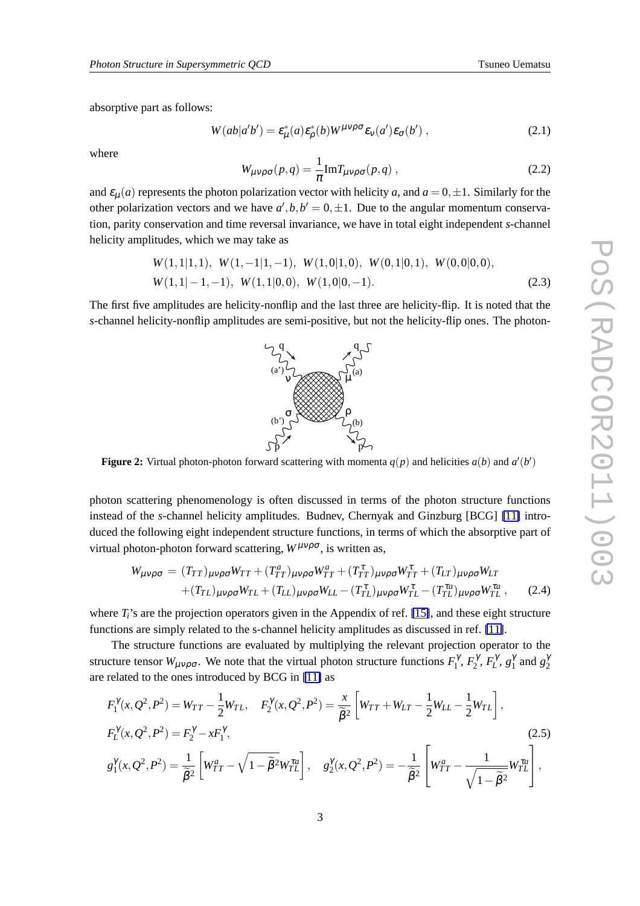absorptive part as follows:

$$
W(ab|a'b') = \varepsilon^*_{\mu}(a)\varepsilon^*_{\rho}(b)W^{\mu\nu\rho\sigma}\varepsilon_{\nu}(a')\varepsilon_{\sigma}(b'), \qquad (2.1)
$$

where

$$
W_{\mu\nu\rho\sigma}(p,q) = \frac{1}{\pi} \text{Im} T_{\mu\nu\rho\sigma}(p,q) , \qquad (2.2)
$$

and  $\varepsilon_u(a)$  represents the photon polarization vector with helicity *a*, and  $a = 0, \pm 1$ . Similarly for the other polarization vectors and we have  $a', b, b' = 0, \pm 1$ . Due to the angular momentum conservation, parity conservation and time reversal invariance, we have in total eight independent *s*-channel helicity amplitudes, which we may take as

$$
W(1,1|1,1), W(1,-1|1,-1), W(1,0|1,0), W(0,1|0,1), W(0,0|0,0),
$$
  
W(1,1|-1,-1), W(1,1|0,0), W(1,0|0,-1). (2.3)

The first five amplitudes are helicity-nonflip and the last three are helicity-flip. It is noted that the *s*-channel helicity-nonflip amplitudes are semi-positive, but not the helicity-flip ones. The photon-

**Figure 2:** Virtual photon-photon forward scattering with momenta  $q(p)$  and helicities  $a(b)$  and  $a'(b')$ 

 $p'$  p

photon scattering phenomenology is often discussed in terms of the photon structure functions instead of the *s*-channel helicity amplitudes. Budnev, Chernyak and Ginzburg [BCG] [\[11\]](#page-7-0) introduced the following eight independent structure functions, in terms of which the absorptive part of virtual photon-photon forward scattering,  $W^{\mu\nu\rho\sigma}$ , is written as,

$$
W_{\mu\nu\rho\sigma} = (T_{TT})_{\mu\nu\rho\sigma}W_{TT} + (T_{TT}^a)_{\mu\nu\rho\sigma}W_{TT}^a + (T_{TT}^{\tau})_{\mu\nu\rho\sigma}W_{TT}^{\tau} + (T_{LT})_{\mu\nu\rho\sigma}W_{LT}
$$
  
 
$$
+ (T_{TL})_{\mu\nu\rho\sigma}W_{TL} + (T_{LL})_{\mu\nu\rho\sigma}W_{LL} - (T_{TL}^{\tau})_{\mu\nu\rho\sigma}W_{TL}^{\tau} - (T_{TL}^{\tau a})_{\mu\nu\rho\sigma}W_{TL}^{\tau a}, \qquad (2.4)
$$

where  $T_i$ 's are the projection operators given in the Appendix of ref. [\[15\]](#page-7-0), and these eight structure functions are simply related to the s-channel helicity amplitudes as discussed in ref. [\[11\]](#page-7-0).

The structure functions are evaluated by multiplying the relevant projection operator to the structure tensor  $W_{\mu\nu\rho\sigma}$ . We note that the virtual photon structure functions  $F_1^{\gamma}$ ,  $F_2^{\gamma}$ ,  $F_L^{\gamma}$ ,  $g_1^{\gamma}$  and  $g_2^{\gamma}$ are related to the ones introduced by BCG in [\[11\]](#page-7-0) as

$$
F_1^{\gamma}(x, Q^2, P^2) = W_{TT} - \frac{1}{2}W_{TL}, \quad F_2^{\gamma}(x, Q^2, P^2) = \frac{x}{\tilde{\beta}^2} \left[ W_{TT} + W_{LT} - \frac{1}{2}W_{LL} - \frac{1}{2}W_{TL} \right],
$$
  
\n
$$
F_L^{\gamma}(x, Q^2, P^2) = F_2^{\gamma} - xF_1^{\gamma},
$$
  
\n
$$
g_1^{\gamma}(x, Q^2, P^2) = \frac{1}{\tilde{\beta}^2} \left[ W_{TT}^a - \sqrt{1 - \tilde{\beta}^2} W_{TL}^{\tau a} \right], \quad g_2^{\gamma}(x, Q^2, P^2) = -\frac{1}{\tilde{\beta}^2} \left[ W_{TT}^a - \frac{1}{\sqrt{1 - \tilde{\beta}^2}} W_{TL}^{\tau a} \right],
$$
\n(2.5)

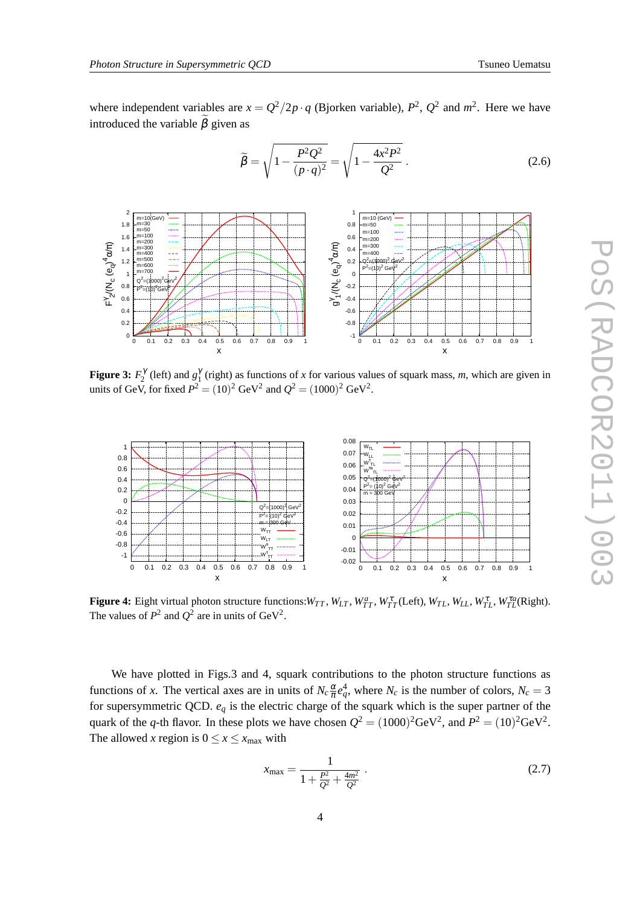<span id="page-3-0"></span>where independent variables are  $x = Q^2/2p \cdot q$  (Bjorken variable),  $P^2$ ,  $Q^2$  and  $m^2$ . Here we have introduced the variable  $\hat{\beta}$  given as

$$
\widetilde{\beta} = \sqrt{1 - \frac{P^2 Q^2}{(p \cdot q)^2}} = \sqrt{1 - \frac{4x^2 P^2}{Q^2}}.
$$
\n(2.6)



**Figure 3:**  $F_2^{\gamma}$  (left) and  $g_1^{\gamma}$  (right) as functions of *x* for various values of squark mass, *m*, which are given in units of GeV, for fixed  $P^2 = (10)^2 \text{ GeV}^2$  and  $Q^2 = (1000)^2 \text{ GeV}^2$ .



**Figure 4:** Eight virtual photon structure functions:  $W_{TT}$ ,  $W_{LT}$ ,  $W_{TT}^a$ ,  $W_{TT}^{\tau}$ (Left),  $W_{TL}$ ,  $W_{LL}$ ,  $W_{TL}^{\tau}$ ,  $W_{TL}^{\tau a}$ (Right). The values of  $P^2$  and  $Q^2$  are in units of GeV<sup>2</sup>.

We have plotted in Figs.3 and 4, squark contributions to the photon structure functions as functions of *x*. The vertical axes are in units of  $N_c \frac{\alpha}{\pi}$  $\frac{\alpha}{\pi}e_q^4$ , where  $N_c$  is the number of colors,  $N_c = 3$ for supersymmetric QCD.  $e_q$  is the electric charge of the squark which is the super partner of the quark of the *q*-th flavor. In these plots we have chosen  $Q^2 = (1000)^2$ GeV<sup>2</sup>, and  $P^2 = (10)^2$ GeV<sup>2</sup>. The allowed *x* region is  $0 \le x \le x_{\text{max}}$  with

$$
x_{\text{max}} = \frac{1}{1 + \frac{P^2}{Q^2} + \frac{4m^2}{Q^2}}.
$$
\n(2.7)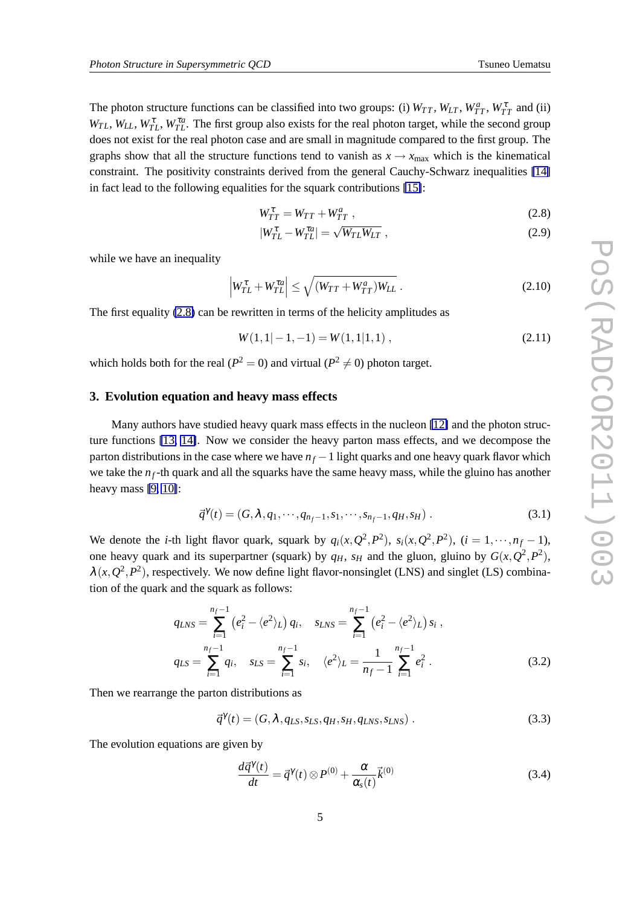The photon structure functions can be classified into two groups: (i)  $W_{TT}$ ,  $W_{LT}$ ,  $W_{TT}^a$ ,  $W_{TT}^{\tau}$  and (ii)  $W_{TL}$ ,  $W_{LL}$ ,  $W_{TL}^{\tau}$ ,  $W_{TL}^{\tau a}$ . The first group also exists for the real photon target, while the second group does not exist for the real photon case and are small in magnitude compared to the first group. The graphs show that all the structure functions tend to vanish as  $x \rightarrow x_{\text{max}}$  which is the kinematical constraint. The positivity constraints derived from the general Cauchy-Schwarz inequalities [\[14\]](#page-7-0) in fact lead to the following equalities for the squark contributions [\[15\]](#page-7-0):

$$
W_{TT}^{\tau} = W_{TT} + W_{TT}^{a} \tag{2.8}
$$

$$
|W_{TL}^{\tau} - W_{TL}^{\tau a}| = \sqrt{W_{TL}W_{LT}} \tag{2.9}
$$

while we have an inequality

$$
\left| W_{TL}^{\tau} + W_{TL}^{\tau a} \right| \le \sqrt{\left( W_{TT} + W_{TT}^{a} \right) W_{LL}} \ . \tag{2.10}
$$

The first equality (2.8) can be rewritten in terms of the helicity amplitudes as

$$
W(1,1|-1,-1) = W(1,1|1,1) , \t\t(2.11)
$$

which holds both for the real ( $P^2 = 0$ ) and virtual ( $P^2 \neq 0$ ) photon target.

#### **3. Evolution equation and heavy mass effects**

Many authors have studied heavy quark mass effects in the nucleon [\[12\]](#page-7-0) and the photon structure functions [\[13,](#page-7-0) [14\]](#page-7-0). Now we consider the heavy parton mass effects, and we decompose the parton distributions in the case where we have  $n_f - 1$  light quarks and one heavy quark flavor which we take the  $n_f$ -th quark and all the squarks have the same heavy mass, while the gluino has another heavy mass [\[9,](#page-7-0) [10\]](#page-7-0):

$$
\vec{q}^{\gamma}(t) = (G, \lambda, q_1, \cdots, q_{n_f-1}, s_1, \cdots, s_{n_f-1}, q_H, s_H).
$$
\n(3.1)

We denote the *i*-th light flavor quark, squark by  $q_i(x, Q^2, P^2)$ ,  $s_i(x, Q^2, P^2)$ ,  $(i = 1, \dots, n_f - 1)$ , one heavy quark and its superpartner (squark) by  $q_H$ ,  $s_H$  and the gluon, gluino by  $G(x, Q^2, P^2)$ ,  $\lambda(x, Q^2, P^2)$ , respectively. We now define light flavor-nonsinglet (LNS) and singlet (LS) combination of the quark and the squark as follows:

$$
q_{LNS} = \sum_{i=1}^{n_f-1} (e_i^2 - \langle e^2 \rangle_L) q_i, \quad s_{LNS} = \sum_{i=1}^{n_f-1} (e_i^2 - \langle e^2 \rangle_L) s_i,
$$
  

$$
q_{LS} = \sum_{i=1}^{n_f-1} q_i, \quad s_{LS} = \sum_{i=1}^{n_f-1} s_i, \quad \langle e^2 \rangle_L = \frac{1}{n_f-1} \sum_{i=1}^{n_f-1} e_i^2.
$$
 (3.2)

Then we rearrange the parton distributions as

$$
\vec{q}^{\gamma}(t) = (G, \lambda, q_{LS}, s_{LS}, q_H, s_H, q_{LNS}, s_{LNS}). \qquad (3.3)
$$

The evolution equations are given by

$$
\frac{d\vec{q}^{\gamma}(t)}{dt} = \vec{q}^{\gamma}(t) \otimes P^{(0)} + \frac{\alpha}{\alpha_s(t)}\vec{k}^{(0)}
$$
\n(3.4)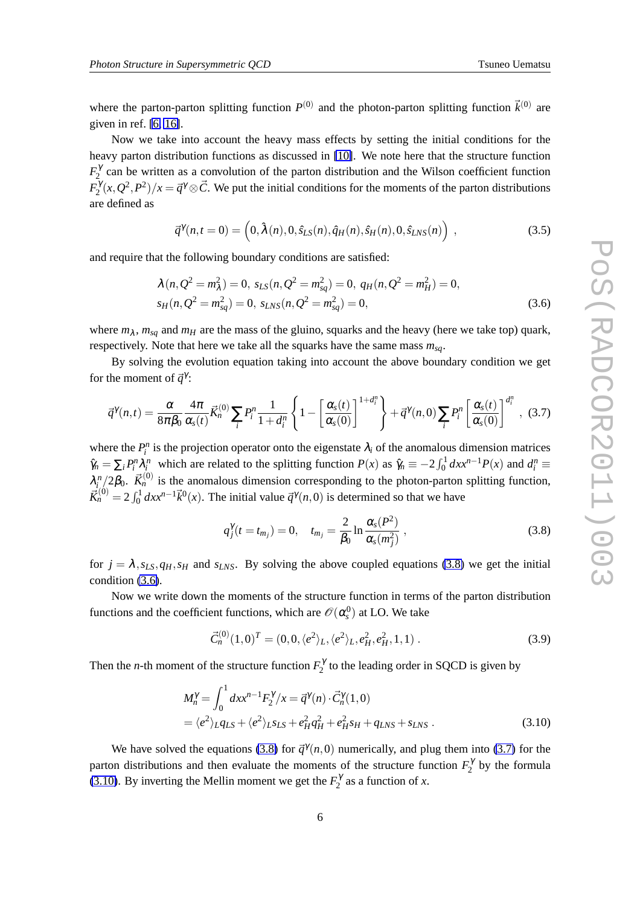where the parton-parton splitting function  $P^{(0)}$  and the photon-parton splitting function  $\vec{k}^{(0)}$  are given in ref. [\[6,](#page-7-0) [16\]](#page-7-0).

Now we take into account the heavy mass effects by setting the initial conditions for the heavy parton distribution functions as discussed in [\[10\]](#page-7-0). We note here that the structure function  $F_2^{\gamma}$  can be written as a convolution of the parton distribution and the Wilson coefficient function  $F_2^{\gamma}(x, Q^2, P^2)/x = \vec{q}^{\gamma} \otimes \vec{C}$ . We put the initial conditions for the moments of the parton distributions are defined as

$$
\vec{q}^{\gamma}(n,t=0) = \left(0, \hat{\lambda}(n), 0, \hat{s}_{LS}(n), \hat{q}_H(n), \hat{s}_H(n), 0, \hat{s}_{LNS}(n)\right) ,\qquad (3.5)
$$

and require that the following boundary conditions are satisfied:

$$
\lambda(n, Q^2 = m_{\lambda}^2) = 0, s_{LS}(n, Q^2 = m_{sq}^2) = 0, q_H(n, Q^2 = m_H^2) = 0, s_H(n, Q^2 = m_{sq}^2) = 0, s_{LNS}(n, Q^2 = m_{sq}^2) = 0,
$$
\n(3.6)

where  $m_{\lambda}$ ,  $m_{sq}$  and  $m_H$  are the mass of the gluino, squarks and the heavy (here we take top) quark, respectively. Note that here we take all the squarks have the same mass *msq*.

By solving the evolution equation taking into account the above boundary condition we get for the moment of  $\vec{q}^{\gamma}$ :

$$
\vec{q}^{\gamma}(n,t) = \frac{\alpha}{8\pi\beta_0} \frac{4\pi}{\alpha_s(t)} \vec{K}_n^{(0)} \sum_i P_i^n \frac{1}{1+d_i^n} \left\{ 1 - \left[ \frac{\alpha_s(t)}{\alpha_s(0)} \right]^{1+d_i^n} \right\} + \vec{q}^{\gamma}(n,0) \sum_i P_i^n \left[ \frac{\alpha_s(t)}{\alpha_s(0)} \right]^{d_i^n}, (3.7)
$$

where the  $P_i^n$  is the projection operator onto the eigenstate  $\lambda_i$  of the anomalous dimension matrices  $\hat{\gamma}_n = \sum_i P_i^n \lambda_i^n$  which are related to the splitting function  $P(x)$  as  $\hat{\gamma}_n \equiv -2 \int_0^1 dx x^{n-1} P(x)$  and  $d_i^n \equiv$  $\lambda_i^n/2\beta_0$ .  $\vec{K}_n^{(0)}$  is the anomalous dimension corresponding to the photon-parton splitting function,  $\vec{R}^{(0)}_n = 2 \int_0^1 dx x^{n-1} \vec{k}^0(x)$ . The initial value  $\vec{q}^{\gamma}(n,0)$  is determined so that we have

$$
q_j^{\gamma}(t = t_{m_j}) = 0, \quad t_{m_j} = \frac{2}{\beta_0} \ln \frac{\alpha_s(P^2)}{\alpha_s(m_j^2)}, \tag{3.8}
$$

for  $j = \lambda$ ,  $s_{LS}$ ,  $q_H$ ,  $s_H$  and  $s_{INS}$ . By solving the above coupled equations (3.8) we get the initial condition (3.6).

Now we write down the moments of the structure function in terms of the parton distribution functions and the coefficient functions, which are  $\mathscr{O}(\alpha_s^0)$  at LO. We take

$$
\vec{C}_n^{(0)}(1,0)^T = (0,0,\langle e^2 \rangle_L, \langle e^2 \rangle_L, e_H^2, e_H^2, 1, 1) \,. \tag{3.9}
$$

Then the *n*-th moment of the structure function  $F_2^{\gamma}$  to the leading order in SQCD is given by

$$
M_n^{\gamma} = \int_0^1 dx x^{n-1} F_2^{\gamma} / x = \vec{q}^{\gamma}(n) \cdot \vec{C}_n^{\gamma}(1,0)
$$
  
=  $\langle e^2 \rangle_L q_{LS} + \langle e^2 \rangle_L s_{LS} + e_H^2 q_H^2 + e_H^2 s_H + q_{LNS} + s_{LNS}$ . (3.10)

We have solved the equations (3.8) for  $\vec{q}^{\gamma}(n,0)$  numerically, and plug them into (3.7) for the parton distributions and then evaluate the moments of the structure function  $F_2^{\gamma}$  by the formula (3.10). By inverting the Mellin moment we get the  $F_2^{\gamma}$  as a function of *x*.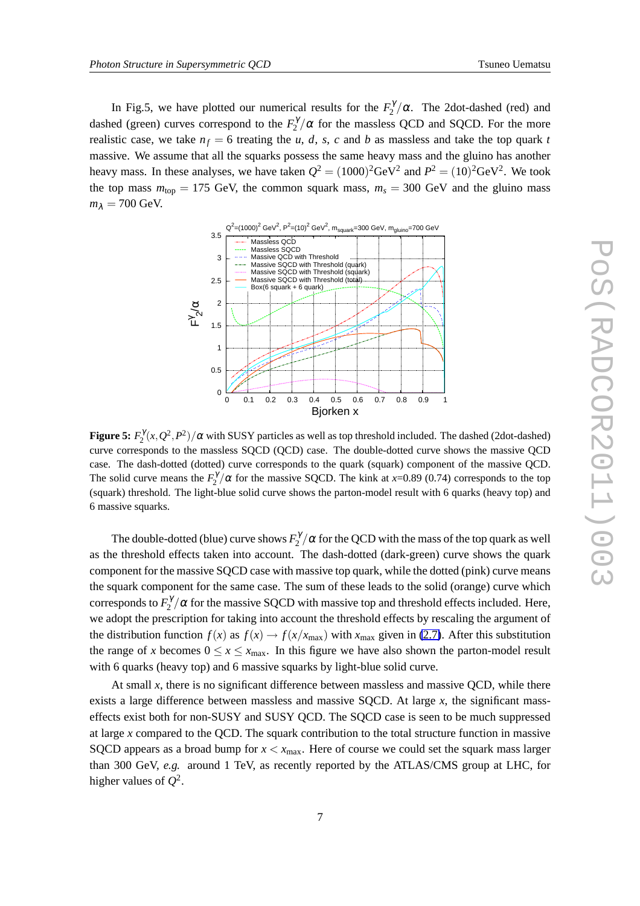In Fig.5, we have plotted our numerical results for the  $F_2^{\gamma}/\alpha$ . The 2dot-dashed (red) and dashed (green) curves correspond to the  $F_2^{\gamma}/\alpha$  for the massless QCD and SQCD. For the more realistic case, we take  $n_f = 6$  treating the *u*, *d*, *s*, *c* and *b* as massless and take the top quark *t* massive. We assume that all the squarks possess the same heavy mass and the gluino has another heavy mass. In these analyses, we have taken  $Q^2 = (1000)^2$ GeV<sup>2</sup> and  $P^2 = (10)^2$ GeV<sup>2</sup>. We took the top mass  $m_{\text{top}} = 175 \text{ GeV}$ , the common squark mass,  $m_s = 300 \text{ GeV}$  and the gluino mass  $m_{\lambda} = 700$  GeV.



**Figure 5:**  $F_2^{\gamma}(x, Q^2, P^2)/\alpha$  with SUSY particles as well as top threshold included. The dashed (2dot-dashed) curve corresponds to the massless SQCD (QCD) case. The double-dotted curve shows the massive QCD case. The dash-dotted (dotted) curve corresponds to the quark (squark) component of the massive QCD. The solid curve means the  $F_2^{\gamma}/\alpha$  for the massive SQCD. The kink at *x*=0.89 (0.74) corresponds to the top (squark) threshold. The light-blue solid curve shows the parton-model result with 6 quarks (heavy top) and 6 massive squarks.

The double-dotted (blue) curve shows  $F_2^{\gamma}/\alpha$  for the QCD with the mass of the top quark as well as the threshold effects taken into account. The dash-dotted (dark-green) curve shows the quark component for the massive SQCD case with massive top quark, while the dotted (pink) curve means the squark component for the same case. The sum of these leads to the solid (orange) curve which corresponds to  $F_2^{\gamma}/\alpha$  for the massive SQCD with massive top and threshold effects included. Here, we adopt the prescription for taking into account the threshold effects by rescaling the argument of the distribution function  $f(x)$  as  $f(x) \rightarrow f(x/x_{\text{max}})$  with  $x_{\text{max}}$  given in [\(2.7\)](#page-3-0). After this substitution the range of *x* becomes  $0 \le x \le x_{\text{max}}$ . In this figure we have also shown the parton-model result with 6 quarks (heavy top) and 6 massive squarks by light-blue solid curve.

At small *x*, there is no significant difference between massless and massive QCD, while there exists a large difference between massless and massive SQCD. At large *x*, the significant masseffects exist both for non-SUSY and SUSY QCD. The SQCD case is seen to be much suppressed at large *x* compared to the QCD. The squark contribution to the total structure function in massive SQCD appears as a broad bump for  $x < x_{\text{max}}$ . Here of course we could set the squark mass larger than 300 GeV, *e.g.* around 1 TeV, as recently reported by the ATLAS/CMS group at LHC, for higher values of  $Q^2$ .